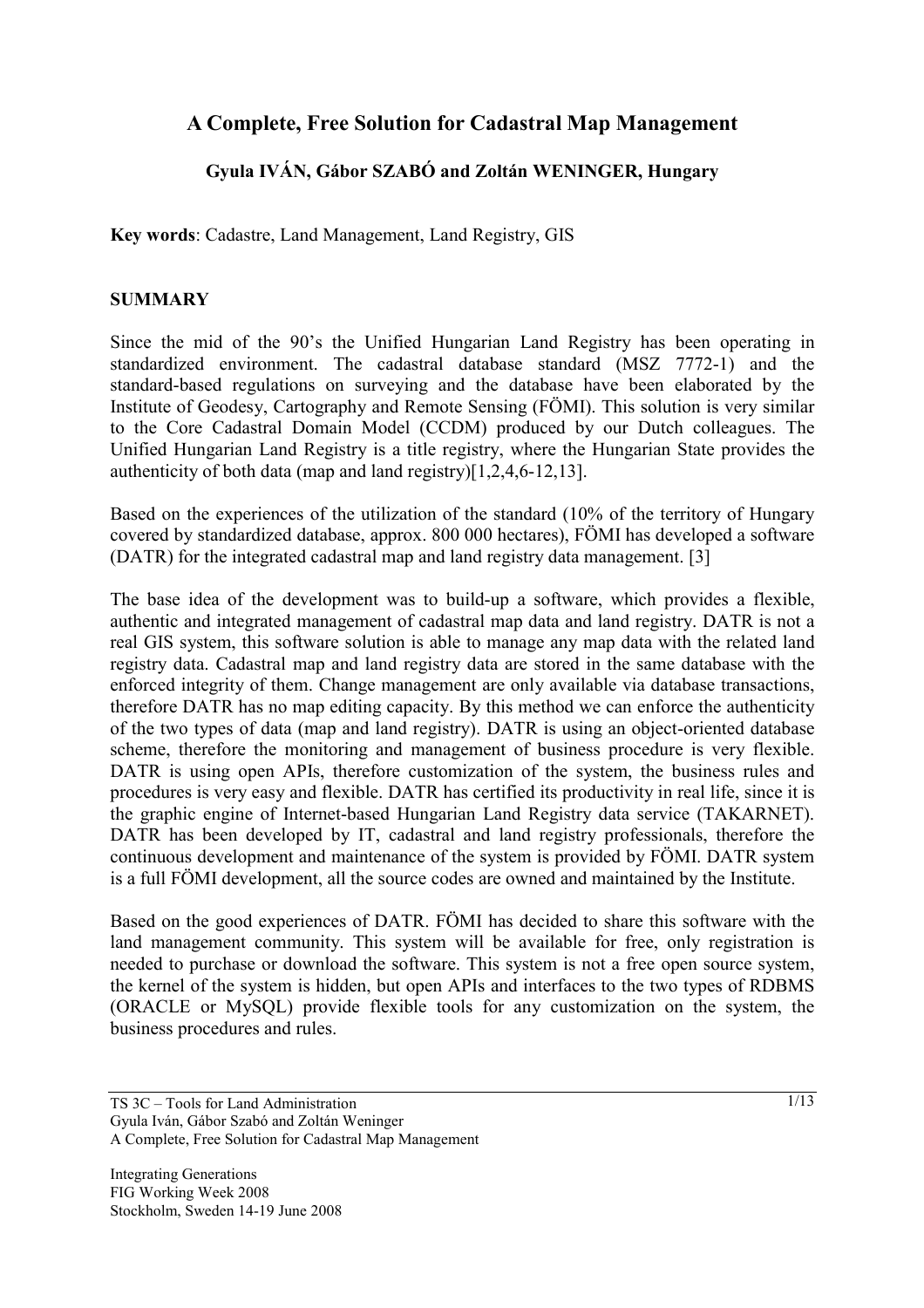# **A Complete, Free Solution for Cadastral Map Management**

# **Gyula IVÁN, Gábor SZABÓ and Zoltán WENINGER, Hungary**

**Key words**: Cadastre, Land Management, Land Registry, GIS

#### **SUMMARY**

Since the mid of the 90's the Unified Hungarian Land Registry has been operating in standardized environment. The cadastral database standard (MSZ 7772-1) and the standard-based regulations on surveying and the database have been elaborated by the Institute of Geodesy, Cartography and Remote Sensing (FÖMI). This solution is very similar to the Core Cadastral Domain Model (CCDM) produced by our Dutch colleagues. The Unified Hungarian Land Registry is a title registry, where the Hungarian State provides the authenticity of both data (map and land registry)[1,2,4,6-12,13].

Based on the experiences of the utilization of the standard (10% of the territory of Hungary covered by standardized database, approx. 800 000 hectares), FÖMI has developed a software (DATR) for the integrated cadastral map and land registry data management. [3]

The base idea of the development was to build-up a software, which provides a flexible, authentic and integrated management of cadastral map data and land registry. DATR is not a real GIS system, this software solution is able to manage any map data with the related land registry data. Cadastral map and land registry data are stored in the same database with the enforced integrity of them. Change management are only available via database transactions, therefore DATR has no map editing capacity. By this method we can enforce the authenticity of the two types of data (map and land registry). DATR is using an object-oriented database scheme, therefore the monitoring and management of business procedure is very flexible. DATR is using open APIs, therefore customization of the system, the business rules and procedures is very easy and flexible. DATR has certified its productivity in real life, since it is the graphic engine of Internet-based Hungarian Land Registry data service (TAKARNET). DATR has been developed by IT, cadastral and land registry professionals, therefore the continuous development and maintenance of the system is provided by FÖMI. DATR system is a full FÖMI development, all the source codes are owned and maintained by the Institute.

Based on the good experiences of DATR. FÖMI has decided to share this software with the land management community. This system will be available for free, only registration is needed to purchase or download the software. This system is not a free open source system, the kernel of the system is hidden, but open APIs and interfaces to the two types of RDBMS (ORACLE or MySQL) provide flexible tools for any customization on the system, the business procedures and rules.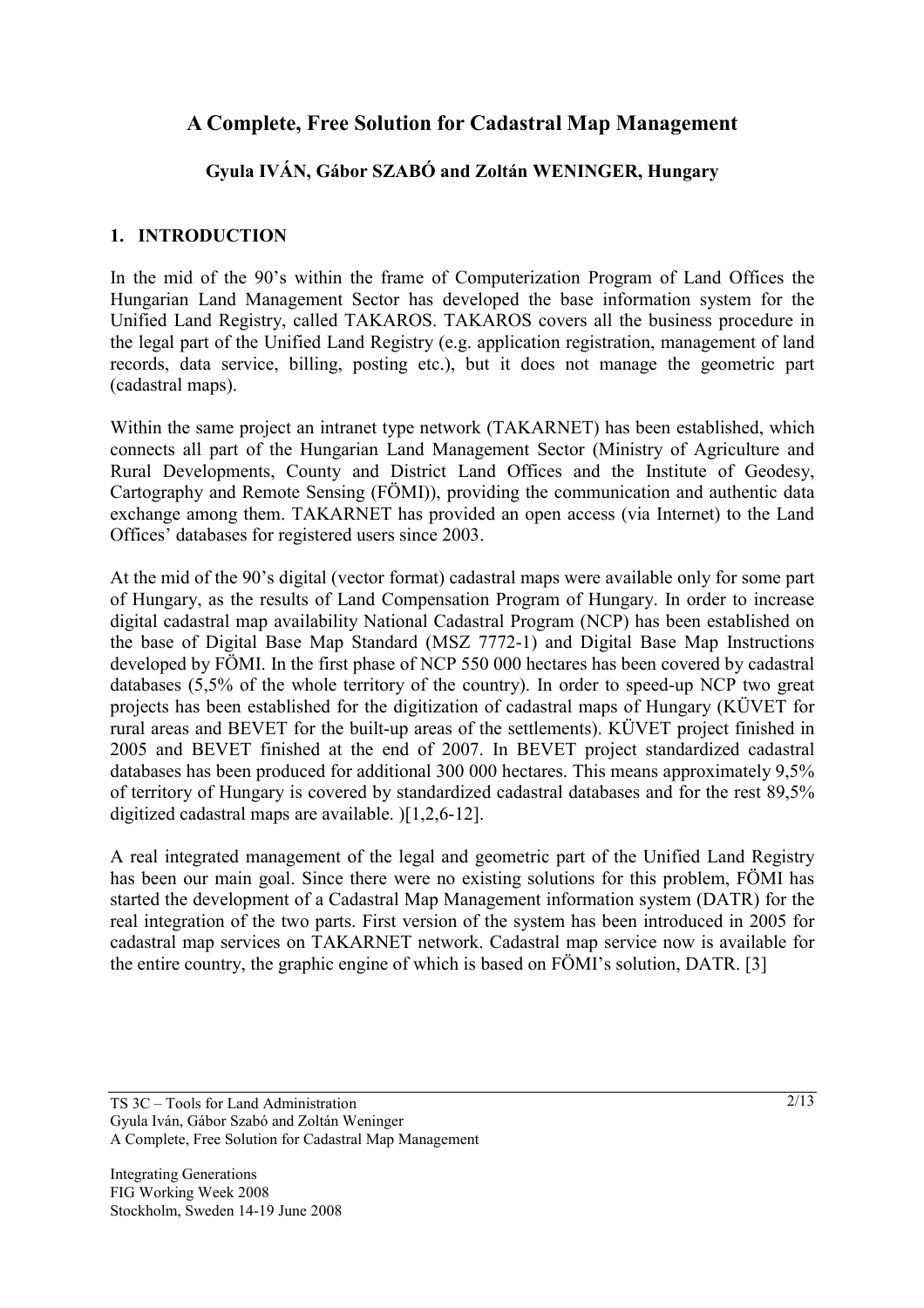# **A Complete, Free Solution for Cadastral Map Management**

# **Gyula IVÁN, Gábor SZABÓ and Zoltán WENINGER, Hungary**

# **1. INTRODUCTION**

In the mid of the 90's within the frame of Computerization Program of Land Offices the Hungarian Land Management Sector has developed the base information system for the Unified Land Registry, called TAKAROS. TAKAROS covers all the business procedure in the legal part of the Unified Land Registry (e.g. application registration, management of land records, data service, billing, posting etc.), but it does not manage the geometric part (cadastral maps).

Within the same project an intranet type network (TAKARNET) has been established, which connects all part of the Hungarian Land Management Sector (Ministry of Agriculture and Rural Developments, County and District Land Offices and the Institute of Geodesy, Cartography and Remote Sensing (FÖMI)), providing the communication and authentic data exchange among them. TAKARNET has provided an open access (via Internet) to the Land Offices' databases for registered users since 2003.

At the mid of the 90's digital (vector format) cadastral maps were available only for some part of Hungary, as the results of Land Compensation Program of Hungary. In order to increase digital cadastral map availability National Cadastral Program (NCP) has been established on the base of Digital Base Map Standard (MSZ 7772-1) and Digital Base Map Instructions developed by FÖMI. In the first phase of NCP 550 000 hectares has been covered by cadastral databases (5,5% of the whole territory of the country). In order to speed-up NCP two great projects has been established for the digitization of cadastral maps of Hungary (KÜVET for rural areas and BEVET for the built-up areas of the settlements). KÜVET project finished in 2005 and BEVET finished at the end of 2007. In BEVET project standardized cadastral databases has been produced for additional 300 000 hectares. This means approximately 9,5% of territory of Hungary is covered by standardized cadastral databases and for the rest 89,5% digitized cadastral maps are available. )[1,2,6-12].

A real integrated management of the legal and geometric part of the Unified Land Registry has been our main goal. Since there were no existing solutions for this problem, FÖMI has started the development of a Cadastral Map Management information system (DATR) for the real integration of the two parts. First version of the system has been introduced in 2005 for cadastral map services on TAKARNET network. Cadastral map service now is available for the entire country, the graphic engine of which is based on FÖMI's solution, DATR. [3]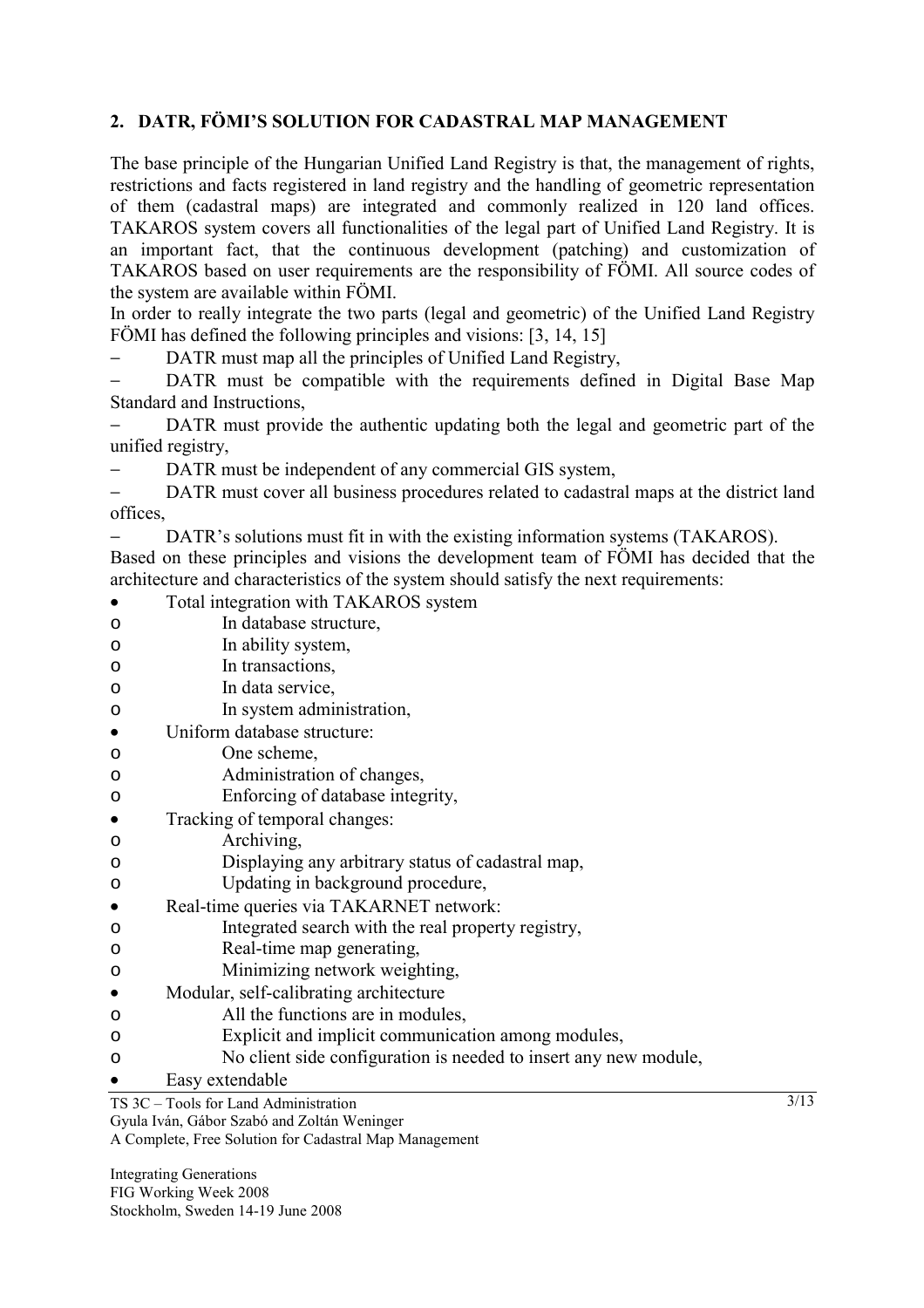# **2. DATR, FÖMI'S SOLUTION FOR CADASTRAL MAP MANAGEMENT**

The base principle of the Hungarian Unified Land Registry is that, the management of rights, restrictions and facts registered in land registry and the handling of geometric representation of them (cadastral maps) are integrated and commonly realized in 120 land offices. TAKAROS system covers all functionalities of the legal part of Unified Land Registry. It is an important fact, that the continuous development (patching) and customization of TAKAROS based on user requirements are the responsibility of FÖMI. All source codes of the system are available within FÖMI.

In order to really integrate the two parts (legal and geometric) of the Unified Land Registry FÖMI has defined the following principles and visions: [3, 14, 15]

DATR must map all the principles of Unified Land Registry,

DATR must be compatible with the requirements defined in Digital Base Map Standard and Instructions,

DATR must provide the authentic updating both the legal and geometric part of the unified registry,

DATR must be independent of any commercial GIS system,

− DATR must cover all business procedures related to cadastral maps at the district land offices,

− DATR's solutions must fit in with the existing information systems (TAKAROS).

Based on these principles and visions the development team of FÖMI has decided that the architecture and characteristics of the system should satisfy the next requirements:

- Total integration with TAKAROS system o In database structure, o In ability system, o In transactions, o In data service, o In system administration, • Uniform database structure: o One scheme, o Administration of changes, o Enforcing of database integrity, • Tracking of temporal changes: o Archiving, o Displaying any arbitrary status of cadastral map,
- o Updating in background procedure,
- Real-time queries via TAKARNET network:
- o Integrated search with the real property registry,
- o Real-time map generating,
- o Minimizing network weighting,
- Modular, self-calibrating architecture
- o All the functions are in modules,
- o Explicit and implicit communication among modules,
- o No client side configuration is needed to insert any new module,
- Easy extendable

A Complete, Free Solution for Cadastral Map Management

Integrating Generations FIG Working Week 2008 Stockholm, Sweden 14-19 June 2008

TS 3C – Tools for Land Administration

Gyula Iván, Gábor Szabó and Zoltán Weninger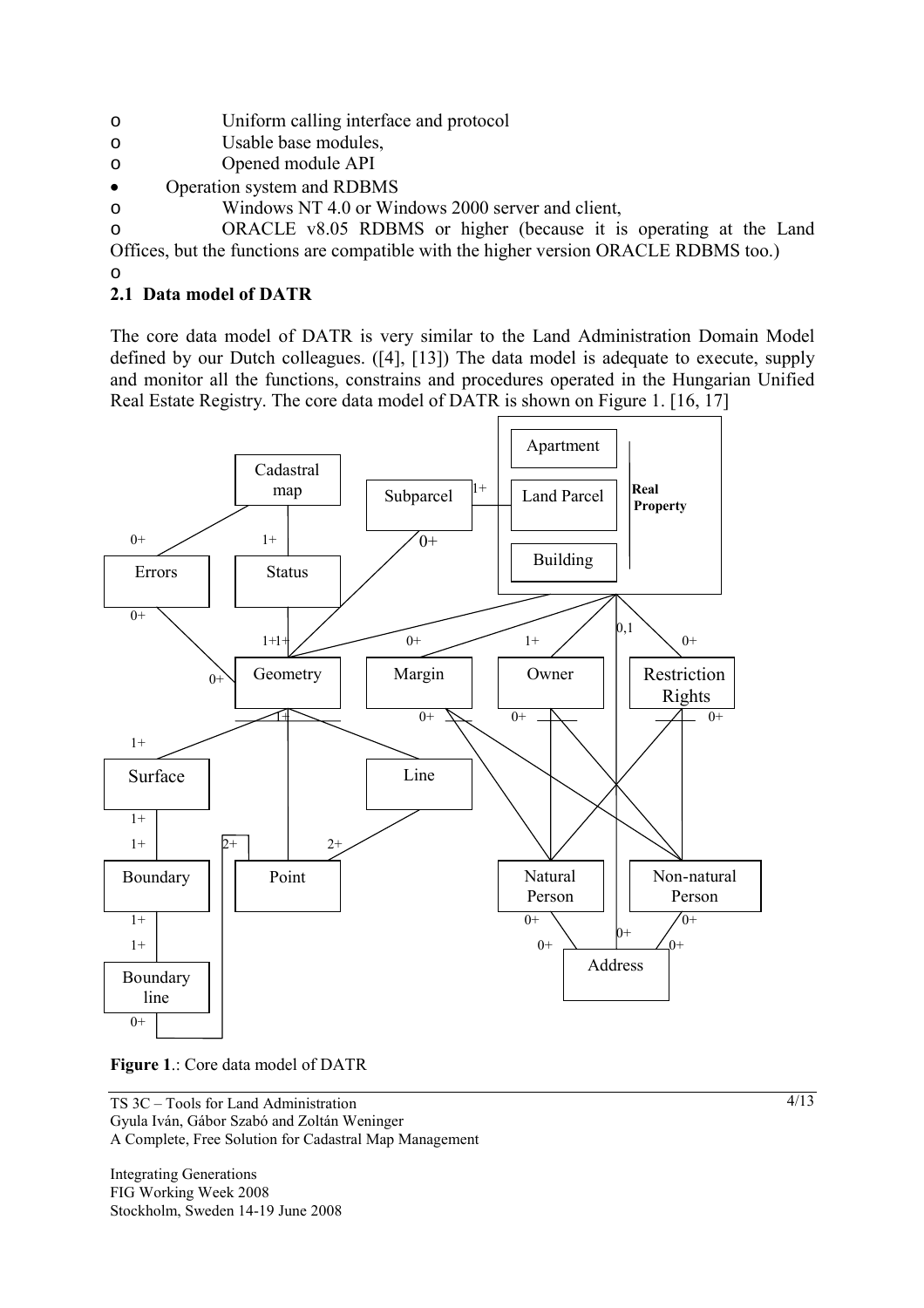- o Uniform calling interface and protocol
- o Usable base modules,
- o Opened module API
- Operation system and RDBMS
- o Windows NT 4.0 or Windows 2000 server and client,

o ORACLE v8.05 RDBMS or higher (because it is operating at the Land Offices, but the functions are compatible with the higher version ORACLE RDBMS too.)

# **2.1 Data model of DATR**

o

The core data model of DATR is very similar to the Land Administration Domain Model defined by our Dutch colleagues. ([4], [13]) The data model is adequate to execute, supply and monitor all the functions, constrains and procedures operated in the Hungarian Unified Real Estate Registry. The core data model of DATR is shown on Figure 1. [16, 17]





TS 3C – Tools for Land Administration Gyula Iván, Gábor Szabó and Zoltán Weninger A Complete, Free Solution for Cadastral Map Management

Integrating Generations FIG Working Week 2008 Stockholm, Sweden 14-19 June 2008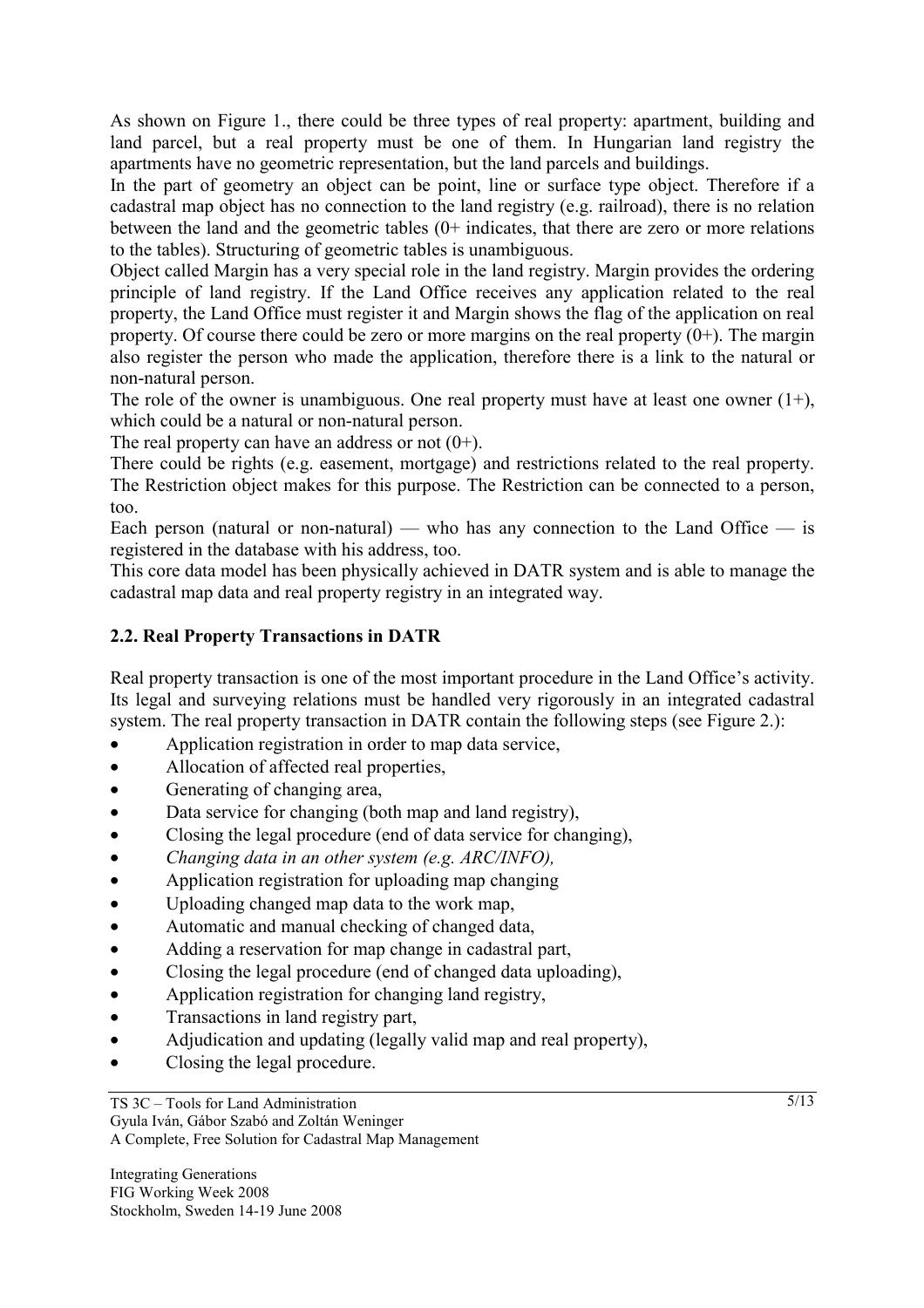As shown on Figure 1., there could be three types of real property: apartment, building and land parcel, but a real property must be one of them. In Hungarian land registry the apartments have no geometric representation, but the land parcels and buildings.

In the part of geometry an object can be point, line or surface type object. Therefore if a cadastral map object has no connection to the land registry (e.g. railroad), there is no relation between the land and the geometric tables (0+ indicates, that there are zero or more relations to the tables). Structuring of geometric tables is unambiguous.

Object called Margin has a very special role in the land registry. Margin provides the ordering principle of land registry. If the Land Office receives any application related to the real property, the Land Office must register it and Margin shows the flag of the application on real property. Of course there could be zero or more margins on the real property  $(0+)$ . The margin also register the person who made the application, therefore there is a link to the natural or non-natural person.

The role of the owner is unambiguous. One real property must have at least one owner  $(1+)$ , which could be a natural or non-natural person.

The real property can have an address or not  $(0+)$ .

There could be rights (e.g. easement, mortgage) and restrictions related to the real property. The Restriction object makes for this purpose. The Restriction can be connected to a person, too.

Each person (natural or non-natural) — who has any connection to the Land Office — is registered in the database with his address, too.

This core data model has been physically achieved in DATR system and is able to manage the cadastral map data and real property registry in an integrated way.

# **2.2. Real Property Transactions in DATR**

Real property transaction is one of the most important procedure in the Land Office's activity. Its legal and surveying relations must be handled very rigorously in an integrated cadastral system. The real property transaction in DATR contain the following steps (see Figure 2.):

- Application registration in order to map data service,
- Allocation of affected real properties,
- Generating of changing area,
- Data service for changing (both map and land registry),
- Closing the legal procedure (end of data service for changing),
- *Changing data in an other system (e.g. ARC/INFO),*
- Application registration for uploading map changing
- Uploading changed map data to the work map,
- Automatic and manual checking of changed data,
- Adding a reservation for map change in cadastral part,
- Closing the legal procedure (end of changed data uploading),
- Application registration for changing land registry,
- Transactions in land registry part,
- Adjudication and updating (legally valid map and real property),
- Closing the legal procedure.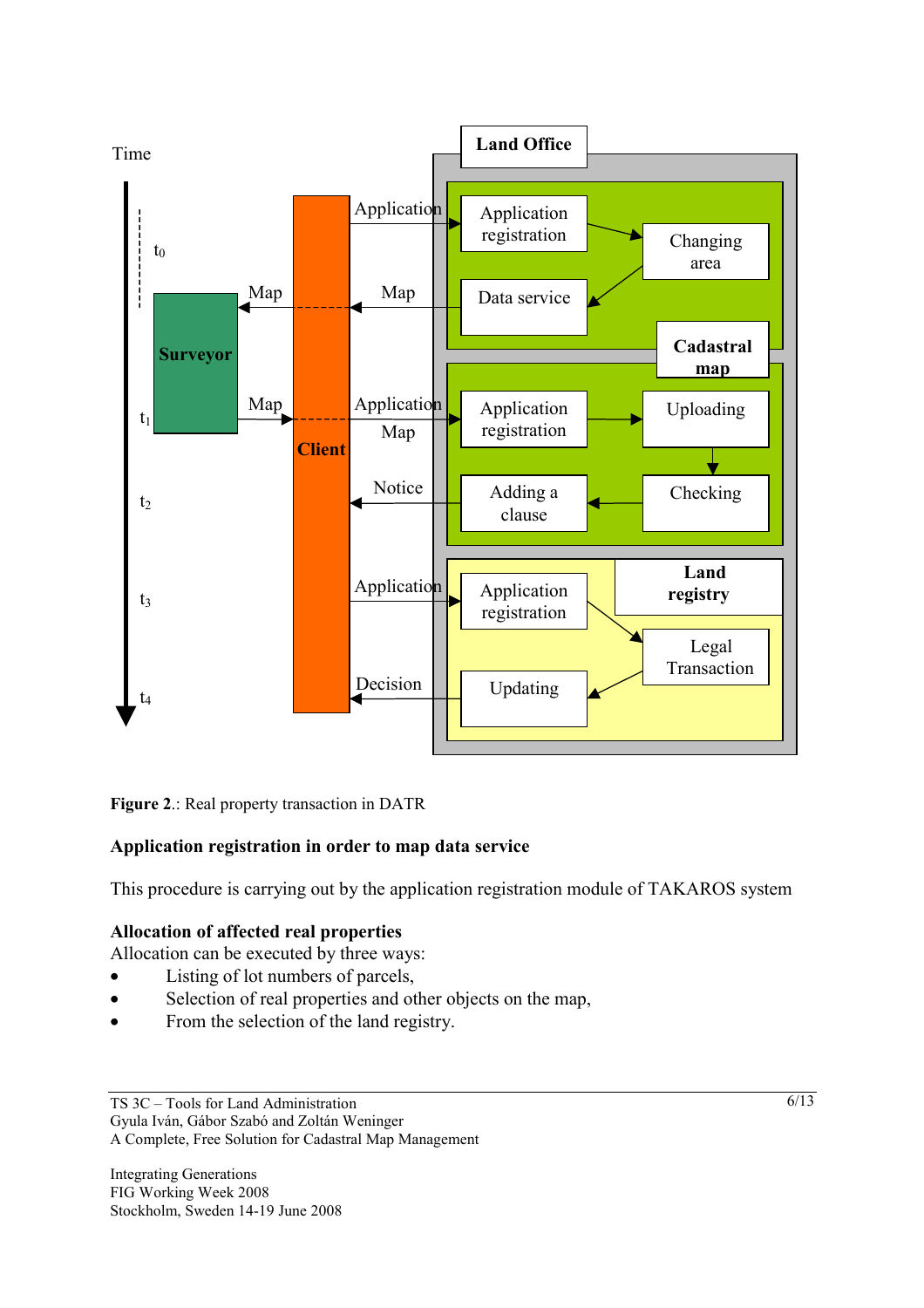

**Figure 2**.: Real property transaction in DATR

# **Application registration in order to map data service**

This procedure is carrying out by the application registration module of TAKAROS system

# **Allocation of affected real properties**

Allocation can be executed by three ways:

- Listing of lot numbers of parcels.
- Selection of real properties and other objects on the map,
- From the selection of the land registry.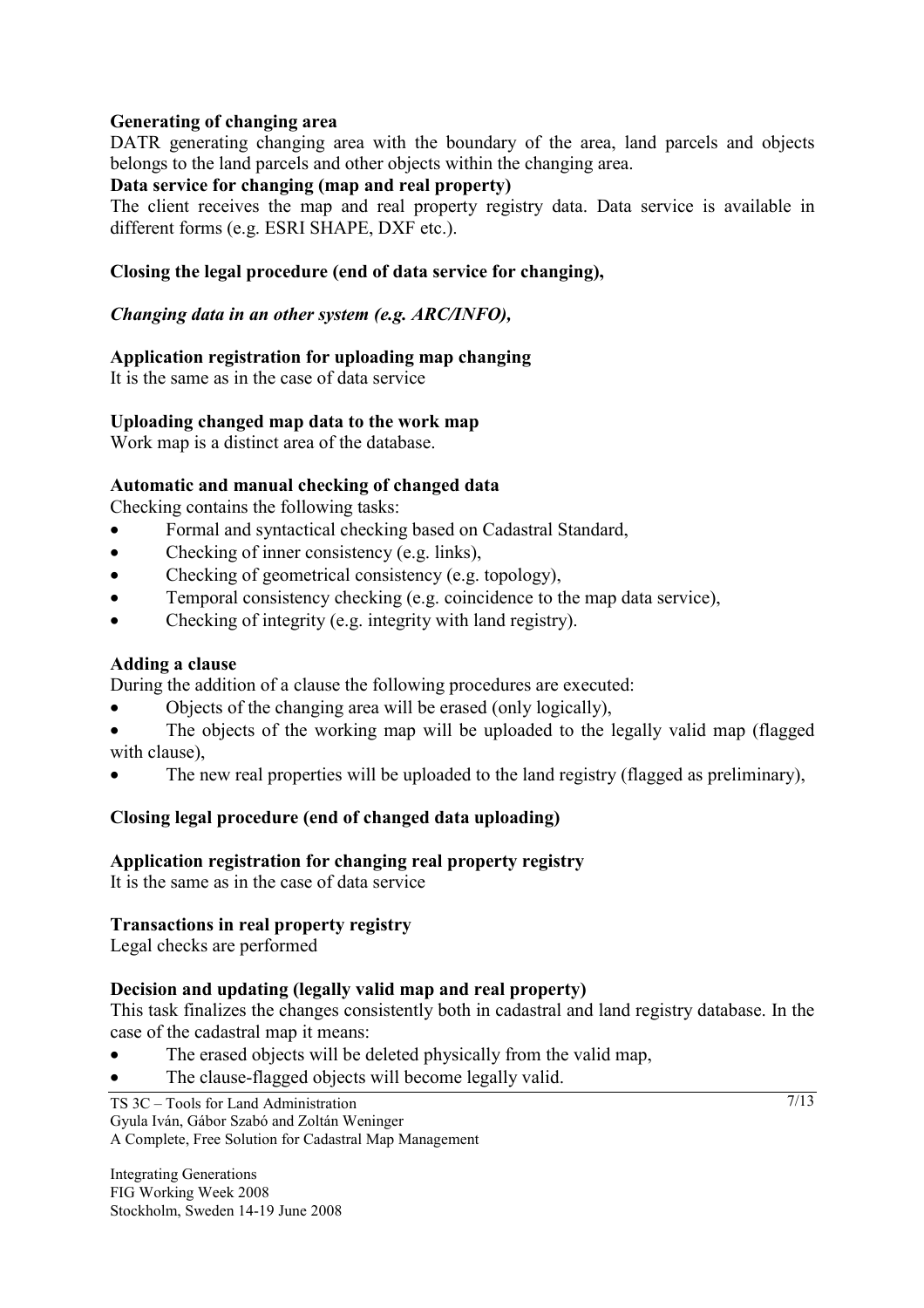# **Generating of changing area**

DATR generating changing area with the boundary of the area, land parcels and objects belongs to the land parcels and other objects within the changing area.

# **Data service for changing (map and real property)**

The client receives the map and real property registry data. Data service is available in different forms (e.g. ESRI SHAPE, DXF etc.).

# **Closing the legal procedure (end of data service for changing),**

### *Changing data in an other system (e.g. ARC/INFO),*

# **Application registration for uploading map changing**

It is the same as in the case of data service

#### **Uploading changed map data to the work map**

Work map is a distinct area of the database.

# **Automatic and manual checking of changed data**

Checking contains the following tasks:

- Formal and syntactical checking based on Cadastral Standard,
- Checking of inner consistency (e.g. links),
- Checking of geometrical consistency (e.g. topology),
- Temporal consistency checking (e.g. coincidence to the map data service),
- Checking of integrity (e.g. integrity with land registry).

# **Adding a clause**

During the addition of a clause the following procedures are executed:

- Objects of the changing area will be erased (only logically),
- The objects of the working map will be uploaded to the legally valid map (flagged with clause),
- The new real properties will be uploaded to the land registry (flagged as preliminary).

# **Closing legal procedure (end of changed data uploading)**

# **Application registration for changing real property registry**

It is the same as in the case of data service

# **Transactions in real property registry**

Legal checks are performed

# **Decision and updating (legally valid map and real property)**

This task finalizes the changes consistently both in cadastral and land registry database. In the case of the cadastral map it means:

- The erased objects will be deleted physically from the valid map,
- The clause-flagged objects will become legally valid.

TS 3C – Tools for Land Administration Gyula Iván, Gábor Szabó and Zoltán Weninger A Complete, Free Solution for Cadastral Map Management

Integrating Generations FIG Working Week 2008 Stockholm, Sweden 14-19 June 2008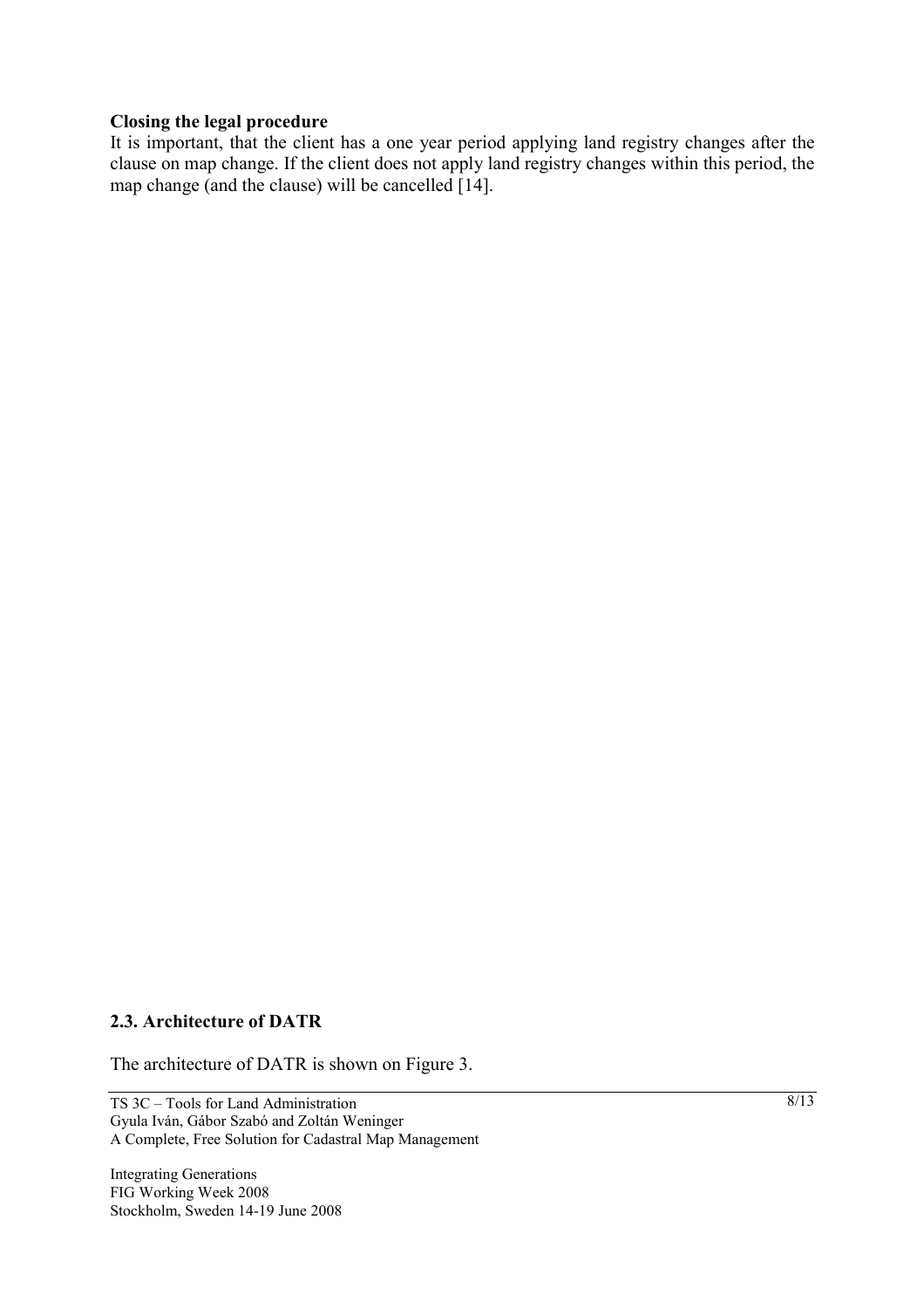#### **Closing the legal procedure**

It is important, that the client has a one year period applying land registry changes after the clause on map change. If the client does not apply land registry changes within this period, the map change (and the clause) will be cancelled [14].

#### **2.3. Architecture of DATR**

The architecture of DATR is shown on Figure 3.

TS 3C – Tools for Land Administration Gyula Iván, Gábor Szabó and Zoltán Weninger A Complete, Free Solution for Cadastral Map Management

Integrating Generations FIG Working Week 2008 Stockholm, Sweden 14-19 June 2008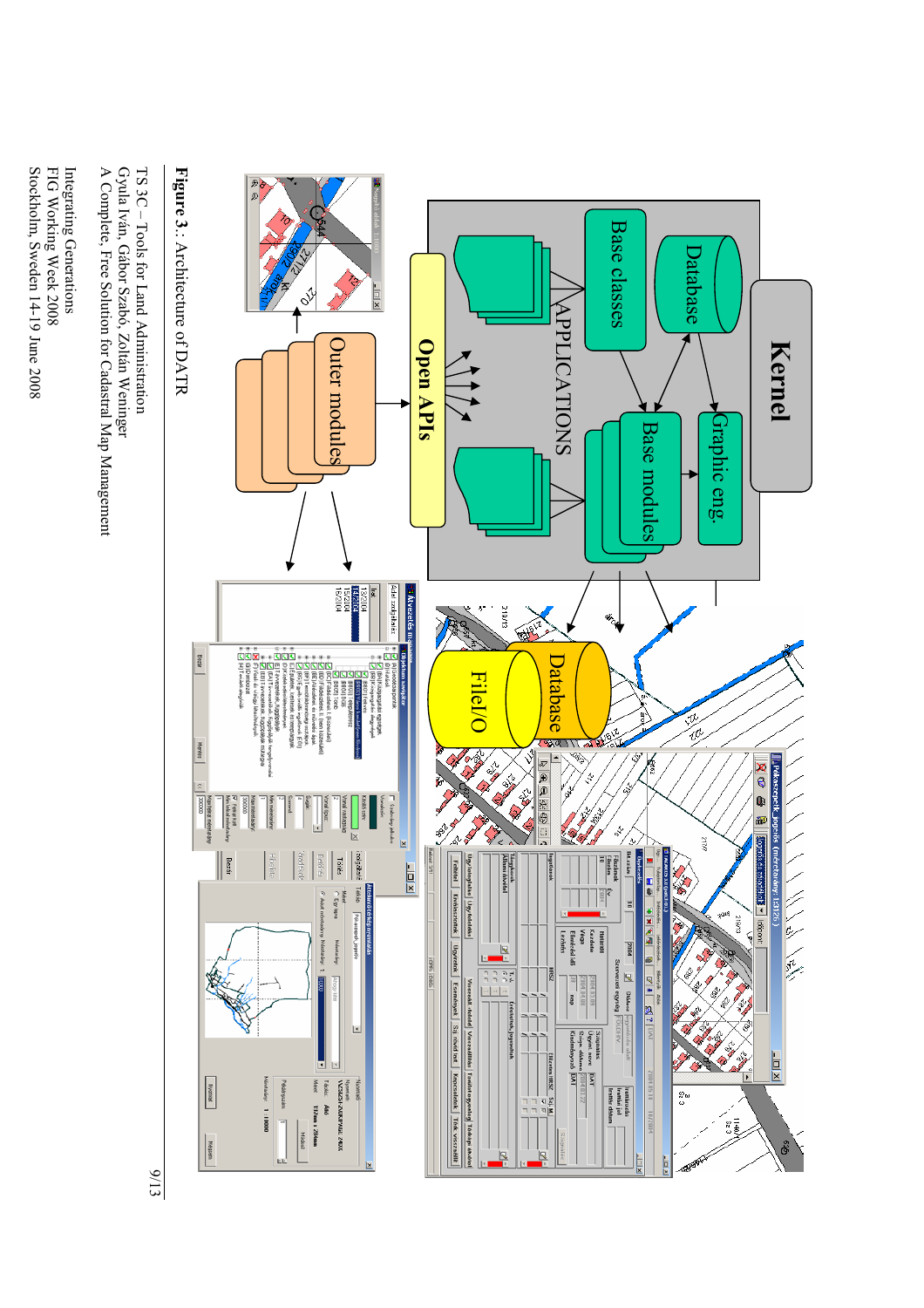

Integrating Generations Integrating Generations

Stockholm, Sweden 14-19 June 2008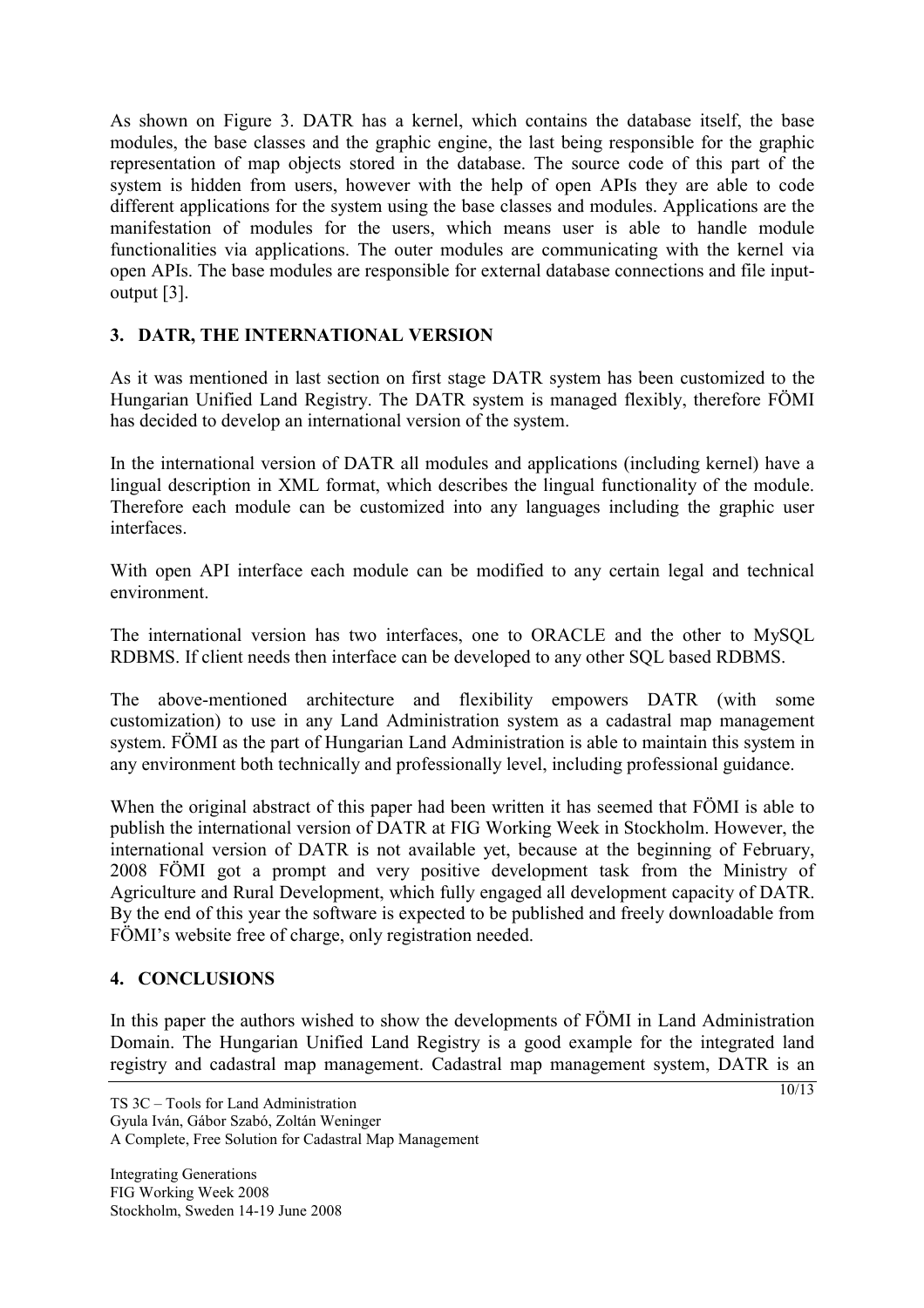As shown on Figure 3. DATR has a kernel, which contains the database itself, the base modules, the base classes and the graphic engine, the last being responsible for the graphic representation of map objects stored in the database. The source code of this part of the system is hidden from users, however with the help of open APIs they are able to code different applications for the system using the base classes and modules. Applications are the manifestation of modules for the users, which means user is able to handle module functionalities via applications. The outer modules are communicating with the kernel via open APIs. The base modules are responsible for external database connections and file inputoutput [3].

# **3. DATR, THE INTERNATIONAL VERSION**

As it was mentioned in last section on first stage DATR system has been customized to the Hungarian Unified Land Registry. The DATR system is managed flexibly, therefore FÖMI has decided to develop an international version of the system.

In the international version of DATR all modules and applications (including kernel) have a lingual description in XML format, which describes the lingual functionality of the module. Therefore each module can be customized into any languages including the graphic user interfaces.

With open API interface each module can be modified to any certain legal and technical environment.

The international version has two interfaces, one to ORACLE and the other to MySQL RDBMS. If client needs then interface can be developed to any other SQL based RDBMS.

The above-mentioned architecture and flexibility empowers DATR (with some customization) to use in any Land Administration system as a cadastral map management system. FÖMI as the part of Hungarian Land Administration is able to maintain this system in any environment both technically and professionally level, including professional guidance.

When the original abstract of this paper had been written it has seemed that FÖMI is able to publish the international version of DATR at FIG Working Week in Stockholm. However, the international version of DATR is not available yet, because at the beginning of February, 2008 FÖMI got a prompt and very positive development task from the Ministry of Agriculture and Rural Development, which fully engaged all development capacity of DATR. By the end of this year the software is expected to be published and freely downloadable from FÖMI's website free of charge, only registration needed.

# **4. CONCLUSIONS**

In this paper the authors wished to show the developments of FÖMI in Land Administration Domain. The Hungarian Unified Land Registry is a good example for the integrated land registry and cadastral map management. Cadastral map management system, DATR is an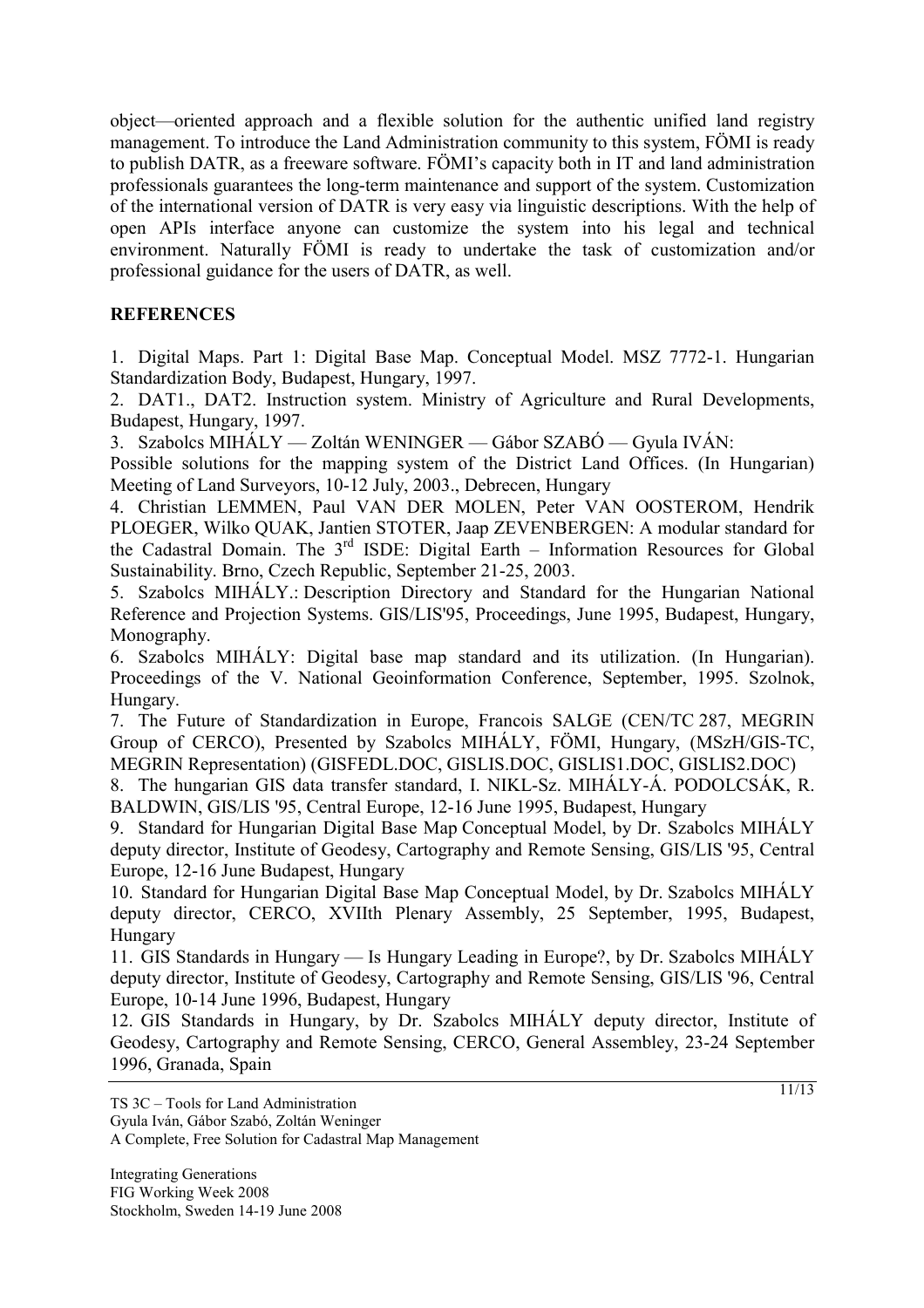object—oriented approach and a flexible solution for the authentic unified land registry management. To introduce the Land Administration community to this system, FÖMI is ready to publish DATR, as a freeware software. FÖMI's capacity both in IT and land administration professionals guarantees the long-term maintenance and support of the system. Customization of the international version of DATR is very easy via linguistic descriptions. With the help of open APIs interface anyone can customize the system into his legal and technical environment. Naturally FÖMI is ready to undertake the task of customization and/or professional guidance for the users of DATR, as well.

# **REFERENCES**

1. Digital Maps. Part 1: Digital Base Map. Conceptual Model. MSZ 7772-1. Hungarian Standardization Body, Budapest, Hungary, 1997.

2. DAT1., DAT2. Instruction system. Ministry of Agriculture and Rural Developments, Budapest, Hungary, 1997.

3. Szabolcs MIHÁLY — Zoltán WENINGER — Gábor SZABÓ — Gyula IVÁN:

Possible solutions for the mapping system of the District Land Offices. (In Hungarian) Meeting of Land Surveyors, 10-12 July, 2003., Debrecen, Hungary

4. Christian LEMMEN, Paul VAN DER MOLEN, Peter VAN OOSTEROM, Hendrik PLOEGER, Wilko QUAK, Jantien STOTER, Jaap ZEVENBERGEN: A modular standard for the Cadastral Domain. The 3rd ISDE: Digital Earth – Information Resources for Global Sustainability. Brno, Czech Republic, September 21-25, 2003.

5. Szabolcs MIHÁLY.: Description Directory and Standard for the Hungarian National Reference and Projection Systems. GIS/LIS'95, Proceedings, June 1995, Budapest, Hungary, Monography.

6. Szabolcs MIHÁLY: Digital base map standard and its utilization. (In Hungarian). Proceedings of the V. National Geoinformation Conference, September, 1995. Szolnok, Hungary.

7. The Future of Standardization in Europe, Francois SALGE (CEN/TC 287, MEGRIN Group of CERCO), Presented by Szabolcs MIHÁLY, FÖMI, Hungary, (MSzH/GIS-TC, MEGRIN Representation) (GISFEDL.DOC, GISLIS.DOC, GISLIS1.DOC, GISLIS2.DOC)

8. The hungarian GIS data transfer standard, I. NIKL-Sz. MIHÁLY-Á. PODOLCSÁK, R. BALDWIN, GIS/LIS '95, Central Europe, 12-16 June 1995, Budapest, Hungary

9. Standard for Hungarian Digital Base Map Conceptual Model, by Dr. Szabolcs MIHÁLY deputy director, Institute of Geodesy, Cartography and Remote Sensing, GIS/LIS '95, Central Europe, 12-16 June Budapest, Hungary

10. Standard for Hungarian Digital Base Map Conceptual Model, by Dr. Szabolcs MIHÁLY deputy director, CERCO, XVIIth Plenary Assembly, 25 September, 1995, Budapest, Hungary

11. GIS Standards in Hungary — Is Hungary Leading in Europe?, by Dr. Szabolcs MIHÁLY deputy director, Institute of Geodesy, Cartography and Remote Sensing, GIS/LIS '96, Central Europe, 10-14 June 1996, Budapest, Hungary

12. GIS Standards in Hungary, by Dr. Szabolcs MIHÁLY deputy director, Institute of Geodesy, Cartography and Remote Sensing, CERCO, General Assembley, 23-24 September 1996, Granada, Spain

Gyula Iván, Gábor Szabó, Zoltán Weninger A Complete, Free Solution for Cadastral Map Management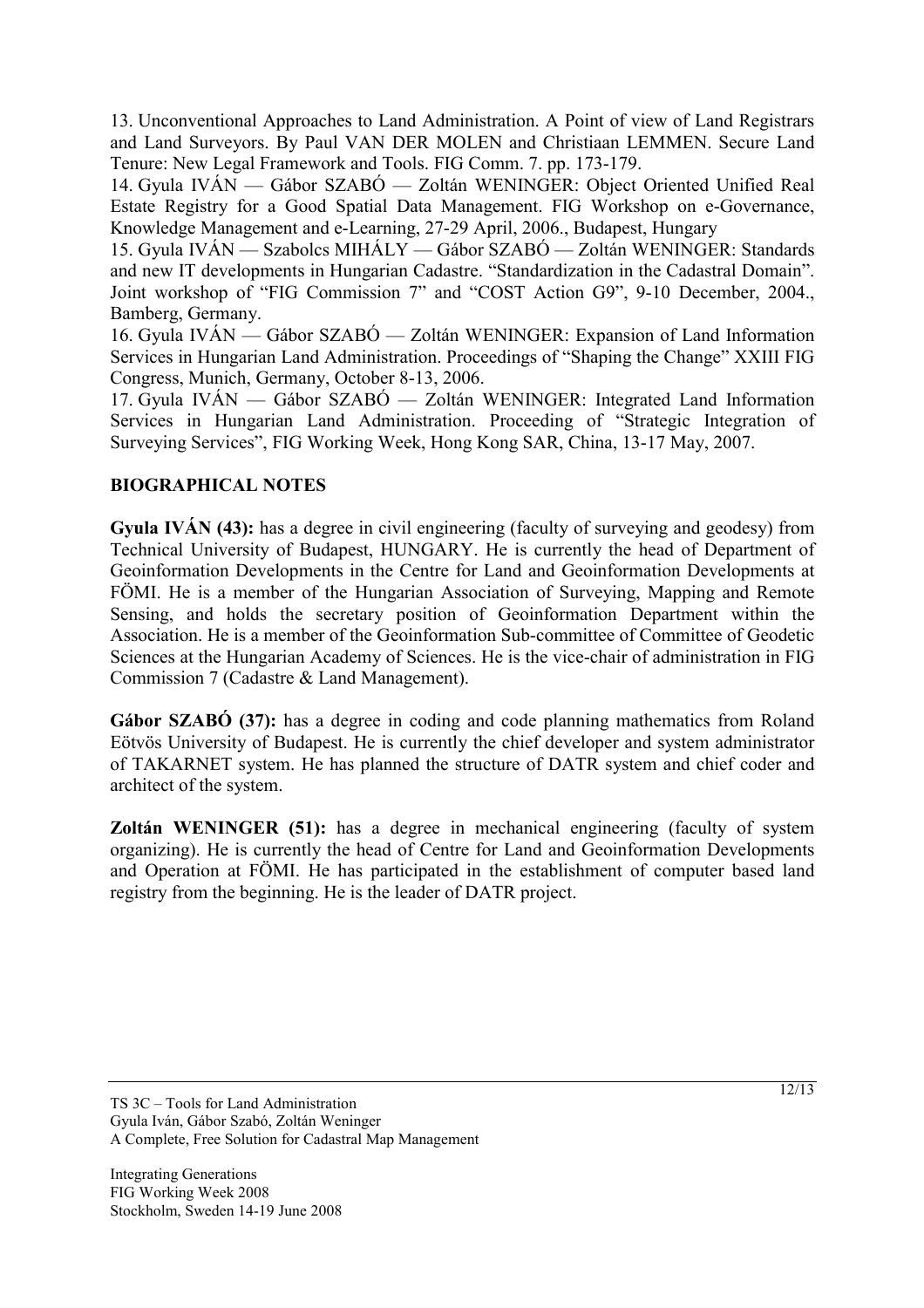13. Unconventional Approaches to Land Administration. A Point of view of Land Registrars and Land Surveyors. By Paul VAN DER MOLEN and Christiaan LEMMEN. Secure Land Tenure: New Legal Framework and Tools. FIG Comm. 7. pp. 173-179.

14. Gyula IVÁN — Gábor SZABÓ — Zoltán WENINGER: Object Oriented Unified Real Estate Registry for a Good Spatial Data Management. FIG Workshop on e-Governance, Knowledge Management and e-Learning, 27-29 April, 2006., Budapest, Hungary

15. Gyula IVÁN — Szabolcs MIHÁLY — Gábor SZABÓ — Zoltán WENINGER: Standards and new IT developments in Hungarian Cadastre. "Standardization in the Cadastral Domain". Joint workshop of "FIG Commission 7" and "COST Action G9", 9-10 December, 2004., Bamberg, Germany.

16. Gyula IVÁN — Gábor SZABÓ — Zoltán WENINGER: Expansion of Land Information Services in Hungarian Land Administration. Proceedings of "Shaping the Change" XXIII FIG Congress, Munich, Germany, October 8-13, 2006.

17. Gyula IVÁN — Gábor SZABÓ — Zoltán WENINGER: Integrated Land Information Services in Hungarian Land Administration. Proceeding of "Strategic Integration of Surveying Services", FIG Working Week, Hong Kong SAR, China, 13-17 May, 2007.

# **BIOGRAPHICAL NOTES**

**Gyula IVÁN (43):** has a degree in civil engineering (faculty of surveying and geodesy) from Technical University of Budapest, HUNGARY. He is currently the head of Department of Geoinformation Developments in the Centre for Land and Geoinformation Developments at FÖMI. He is a member of the Hungarian Association of Surveying, Mapping and Remote Sensing, and holds the secretary position of Geoinformation Department within the Association. He is a member of the Geoinformation Sub-committee of Committee of Geodetic Sciences at the Hungarian Academy of Sciences. He is the vice-chair of administration in FIG Commission 7 (Cadastre & Land Management).

**Gábor SZABÓ (37):** has a degree in coding and code planning mathematics from Roland Eötvös University of Budapest. He is currently the chief developer and system administrator of TAKARNET system. He has planned the structure of DATR system and chief coder and architect of the system.

**Zoltán WENINGER (51):** has a degree in mechanical engineering (faculty of system organizing). He is currently the head of Centre for Land and Geoinformation Developments and Operation at FÖMI. He has participated in the establishment of computer based land registry from the beginning. He is the leader of DATR project.

TS 3C – Tools for Land Administration Gyula Iván, Gábor Szabó, Zoltán Weninger A Complete, Free Solution for Cadastral Map Management